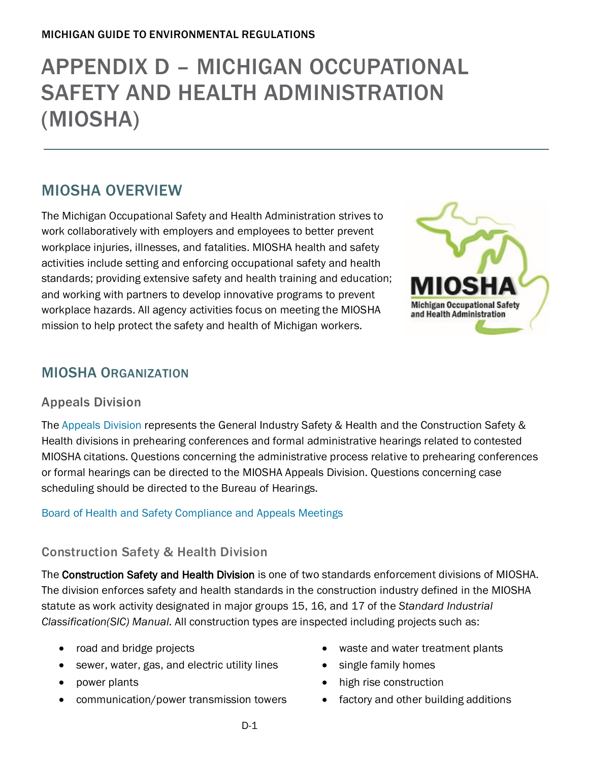# APPENDIX D – [MICHIGAN OCCUPATIONAL](file://hcs084vsnbpf007/DEQ6/ESS/SHARED/OEA/Outreach/Guidebooks/EHS%20Guidebook/2020%20EHS%20Guidebook/Drafts/CHAPTER%201:%20AIR%20QUALITY%20REGULATIONS)  [SAFETY AND HEALTH](file://hcs084vsnbpf007/DEQ6/ESS/SHARED/OEA/Outreach/Guidebooks/EHS%20Guidebook/2020%20EHS%20Guidebook/Drafts/CHAPTER%201:%20AIR%20QUALITY%20REGULATIONS) ADMINISTRATION [\(MIOSHA\)](file://hcs084vsnbpf007/DEQ6/ESS/SHARED/OEA/Outreach/Guidebooks/EHS%20Guidebook/2020%20EHS%20Guidebook/Drafts/CHAPTER%201:%20AIR%20QUALITY%20REGULATIONS)

## MIOSHA OVERVIEW

The Michigan Occupational Safety and Health Administration strives to work collaboratively with employers and employees to better prevent workplace injuries, illnesses, and fatalities. MIOSHA health and safety activities include setting and enforcing occupational safety and health standards; providing extensive safety and health training and education; and working with partners to develop innovative programs to prevent workplace hazards. All agency activities focus on meeting the MIOSHA mission to help protect the safety and health of Michigan workers.



## MIOSHA ORGANIZATION

## Appeals Division

The [Appeals Division](https://www.michigan.gov/leo/0,5863,7-336-94422_11407_15349-37850--,00.html) represents the General Industry Safety & Health and the Construction Safety & Health divisions in prehearing conferences and formal administrative hearings related to contested MIOSHA citations. Questions concerning the administrative process relative to prehearing conferences or formal hearings can be directed to the MIOSHA Appeals Division. Questions concerning case scheduling should be directed to the Bureau of Hearings.

#### [Board of Health and Safety Compliance and Appeals Meetings](http://www.michigan.gov/lara/0,4601,7-154-61256_11407_15368-290132--,00.html)

## Construction Safety & Health Division

The Construction Safety and Health Division is one of two standards enforcement divisions of MIOSHA. The division enforces safety and health standards in the construction industry defined in the MIOSHA statute as work activity designated in major groups 15, 16, and 17 of the *Standard Industrial Classification(SIC) Manual.* All construction types are inspected including projects such as:

- road and bridge projects
- sewer, water, gas, and electric utility lines
- power plants
- communication/power transmission towers
- waste and water treatment plants
- single family homes
- high rise construction
- factory and other building additions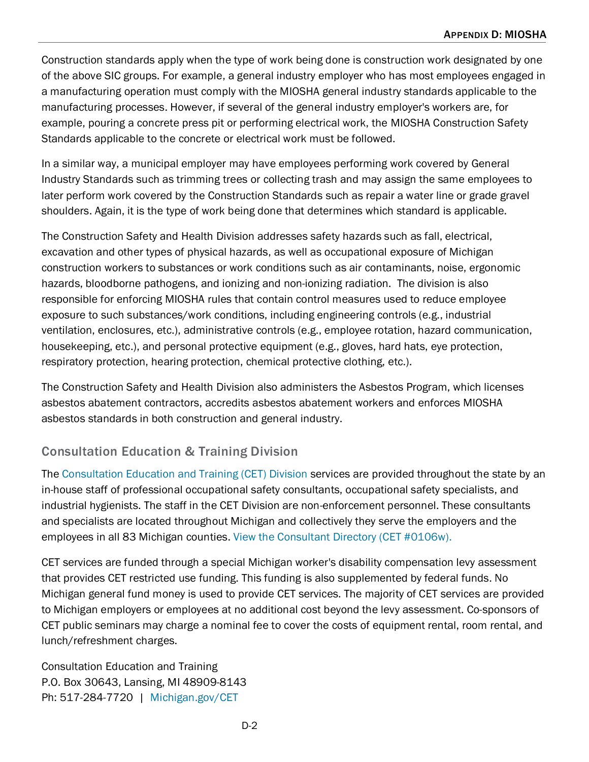Construction standards apply when the type of work being done is construction work designated by one of the above SIC groups. For example, a general industry employer who has most employees engaged in a manufacturing operation must comply with the MIOSHA general industry standards applicable to the manufacturing processes. However, if several of the general industry employer's workers are, for example, pouring a concrete press pit or performing electrical work, the MIOSHA Construction Safety Standards applicable to the concrete or electrical work must be followed.

In a similar way, a municipal employer may have employees performing work covered by General Industry Standards such as trimming trees or collecting trash and may assign the same employees to later perform work covered by the Construction Standards such as repair a water line or grade gravel shoulders. Again, it is the type of work being done that determines which standard is applicable.

The Construction Safety and Health Division addresses safety hazards such as fall, electrical, excavation and other types of physical hazards, as well as occupational exposure of Michigan construction workers to substances or work conditions such as air contaminants, noise, ergonomic hazards, bloodborne pathogens, and ionizing and non-ionizing radiation. The division is also responsible for enforcing MIOSHA rules that contain control measures used to reduce employee exposure to such substances/work conditions, including engineering controls (e.g., industrial ventilation, enclosures, etc.), administrative controls (e.g., employee rotation, hazard communication, housekeeping, etc.), and personal protective equipment (e.g., gloves, hard hats, eye protection, respiratory protection, hearing protection, chemical protective clothing, etc.).

The Construction Safety and Health Division also administers the [Asbestos Program,](https://www.michigan.gov/leo/0,5863,7-336-94422_11407_15333_15369---,00.html) which licenses asbestos abatement contractors, accredits asbestos abatement workers and enforces MIOSHA asbestos standards in both construction and general industry.

## Consultation Education & Training Division

The [Consultation Education and](http://www.michigan.gov/cetrca) Training (CET) Division services are provided throughout the state by an in-house staff of professional occupational safety consultants, occupational safety specialists, and industrial hygienists. The staff in the CET Division are non-enforcement personnel. These consultants and specialists are located throughout Michigan and collectively they serve the employers and the employees in all 83 Michigan counties. [View the Consultant Directory \(CET #0106w\).](http://www.michigan.gov/documents/cis/wsh_cet0106w_188214_7.doc)

CET services are funded through a special Michigan worker's disability compensation levy assessment that provides CET restricted use funding. This funding is also supplemented by federal funds. No Michigan general fund money is used to provide CET services. The majority of CET services are provided to Michigan employers or employees at no additional cost beyond the levy assessment. Co-sponsors of CET public seminars may charge a nominal fee to cover the costs of equipment rental, room rental, and lunch/refreshment charges.

Consultation Education and Training P.O. Box 30643, Lansing, MI 48909-8143 Ph: 517-284-7720 | [Michigan.gov/CET](http://www.michigan.gov/CET)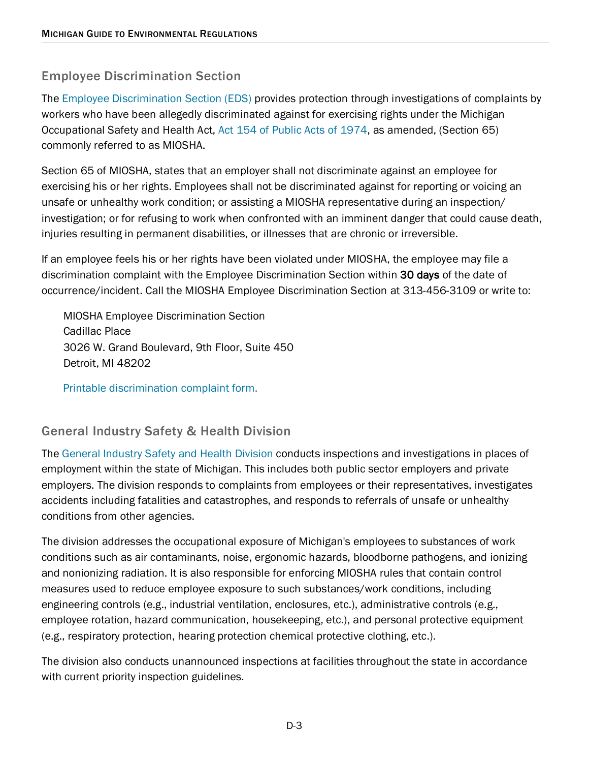## Employee Discrimination Section

The [Employee Discrimination](https://www.michigan.gov/leo/0,5863,7-336-94422_11407_15349-37854--,00.html) Section (EDS) provides protection through investigations of complaints by workers who have been allegedly discriminated against for exercising rights under the Michigan Occupational Safety and Health Act, [Act 154 of Public Acts of 1974,](https://www.legislature.mi.gov/(S(g1chdyelhkhcsr55245brtaa))/documents/mcl/pdf/mcl-Act-154-of-1974.pdf) as amended, (Section 65) commonly referred to as MIOSHA.

Section 65 of MIOSHA, states that an employer shall not discriminate against an employee for exercising his or her rights. Employees shall not be discriminated against for reporting or voicing an unsafe or unhealthy work condition; or assisting a MIOSHA representative during an inspection/ investigation; or for refusing to work when confronted with an imminent danger that could cause death, injuries resulting in permanent disabilities, or illnesses that are chronic or irreversible.

If an employee feels his or her rights have been violated under MIOSHA, the employee may file a discrimination complaint with the Employee Discrimination Section within 30 days of the date of occurrence/incident. Call the MIOSHA Employee Discrimination Section at 313-456-3109 or write to:

MIOSHA Employee Discrimination Section Cadillac Place 3026 W. Grand Boulevard, 9th Floor, Suite 450 Detroit, MI 48202

Printable [discrimination complaint form.](http://www.michigan.gov/documents/CIS_WSH_MIOSHA_Discrimination_Compaint_74429_7.pdf)

## General Industry Safety & Health Division

The [General Industry Safety and](https://www.michigan.gov/leo/0,5863,7-336-94422_11407_15349-37856--,00.html) Health Division conducts inspections and investigations in places of employment within the state of Michigan. This includes both public sector employers and private employers. The division responds to complaints from employees or their representatives, investigates accidents including fatalities and catastrophes, and responds to referrals of unsafe or unhealthy conditions from other agencies.

The division addresses the occupational exposure of Michigan's employees to substances of work conditions such as air contaminants, noise, ergonomic hazards, bloodborne pathogens, and ionizing and nonionizing radiation. It is also responsible for enforcing MIOSHA rules that contain control measures used to reduce employee exposure to such substances/work conditions, including engineering controls (e.g., industrial ventilation, enclosures, etc.), administrative controls (e.g., employee rotation, hazard communication, housekeeping, etc.), and personal protective equipment (e.g., respiratory protection, hearing protection chemical protective clothing, etc.).

The division also conducts unannounced inspections at facilities throughout the state in accordance with current priority inspection guidelines.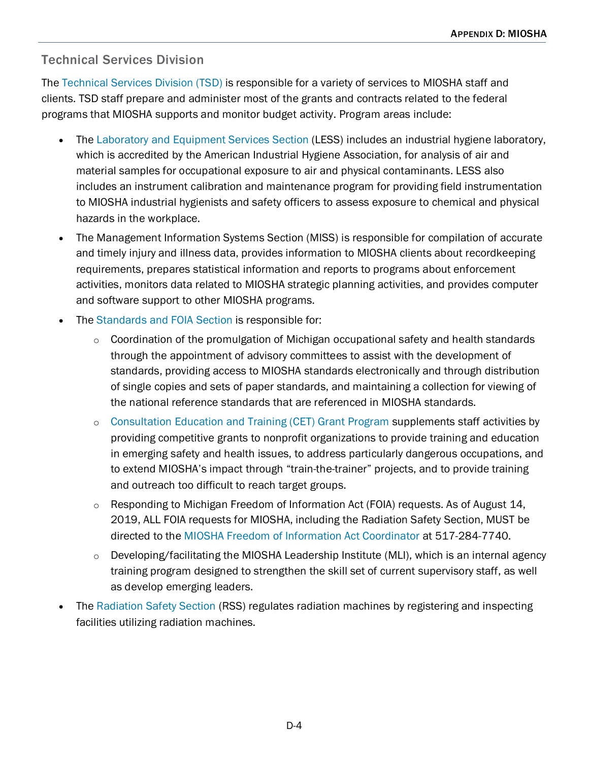## Technical Services Division

The [Technical Services Division \(TSD\)](https://www.michigan.gov/leo/0,5863,7-336-94422_11407_15349-87526--,00.html) is responsible for a variety of services to MIOSHA staff and clients. TSD staff prepare and administer most of the grants and contracts related to the federal programs that MIOSHA supports and monitor budget activity. Program areas include:

- The [Laboratory and Equipment Services Section](http://www.michigan.gov/less) (LESS) includes an industrial hygiene laboratory, which is accredited by the American Industrial Hygiene Association, for analysis of air and material samples for occupational exposure to air and physical contaminants. LESS also includes an instrument calibration and maintenance program for providing field instrumentation to MIOSHA industrial hygienists and safety officers to assess exposure to chemical and physical hazards in the workplace.
- The Management Information Systems Section (MISS) is responsible for compilation of accurate and timely injury and illness data, provides information to MIOSHA clients about recordkeeping requirements, prepares statistical information and reports to programs about enforcement activities, monitors data related to MIOSHA strategic planning activities, and provides computer and software support to other MIOSHA programs.
- The [Standards and FOIA](http://www.michigan.gov/mioshastandards) Section is responsible for:
	- $\circ$  Coordination of the promulgation of Michigan occupational safety and health standards through the appointment of advisory committees to assist with the development of standards, providing access to MIOSHA standards electronically and through distribution of single copies and sets of paper standards, and maintaining a collection for viewing of the national reference standards that are referenced in MIOSHA standards.
	- o [Consultation Education and Training \(CET\) Grant Program](https://www.michigan.gov/leo/0,5863,7-336-78421_11407_15317_15346---,00.html) supplements staff activities by providing competitive grants to nonprofit organizations to provide training and education in emerging safety and health issues, to address particularly dangerous occupations, and to extend MIOSHA's impact through "train-the-trainer" projects, and to provide training and outreach too difficult to reach target groups.
	- Responding to Michigan Freedom of Information Act (FOIA) requests. As of August 14, 2019, ALL FOIA requests for MIOSHA, including the Radiation Safety Section, MUST be directed to the [MIOSHA Freedom of Information Act Coordinator](mailto:MIOSHAFOIARequest@michigan.gov) at 517-284-7740.
	- Developing/facilitating the MIOSHA Leadership Institute (MLI), which is an internal agency training program designed to strengthen the skill set of current supervisory staff, as well as develop emerging leaders.
- The [Radiation Safety Section](http://www.michigan.gov/lara/0,4601,7-154-61256_11407_35791---,00.html) (RSS) regulates radiation machines by registering and inspecting facilities utilizing radiation machines.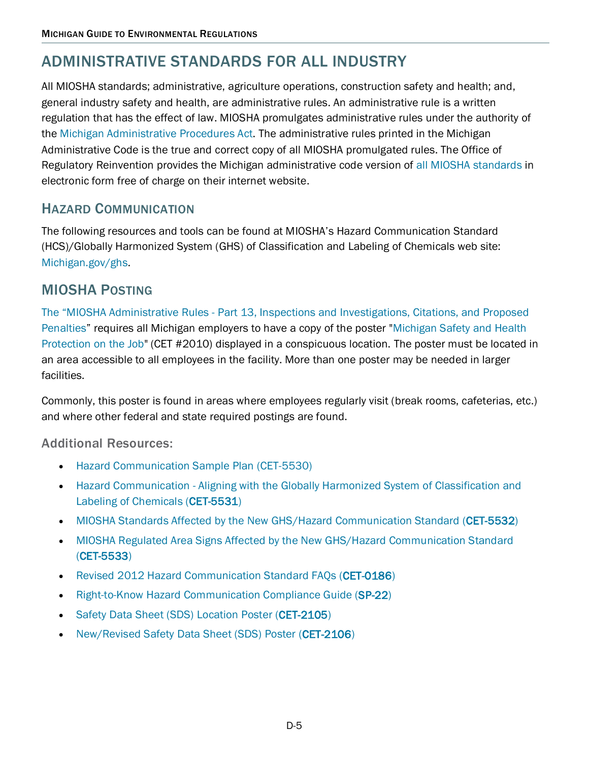## [ADMINISTRATIVE STANDARDS FOR ALL INDUSTRY](https://www.michigan.gov/leo/0,5863,7-336-78421_11407_15368-39919--,00.html)

All MIOSHA standards; administrative, agriculture operations, construction safety and health; and, general industry safety and health, are administrative rules. An administrative rule is a written regulation that has the effect of law. MIOSHA promulgates administrative rules under the authority of the Michigan [Administrative Procedures Act.](http://www.legislature.mi.gov/(S(wx40otjd1ofmox451sisgx55))/documents/mcl/pdf/mcl-306-1969-1.pdf) The administrative rules printed in the Michigan Administrative Code is the true and correct copy of all MIOSHA promulgated rules. The Office of Regulatory Reinvention provides the Michigan administrative code version of [all MIOSHA standards](https://dtmb.state.mi.us/ARS_Public/AdminCode/DeptBureauAdminCode?Department=Labor%20and%20Economic%20Opportunity%20&Bureau=MIOSHA) in electronic form free of charge on their internet website.

## HAZARD COMMUNICATION

The following resources and tools can be found at MIOSHA's Hazard Communication Standard (HCS)/Globally Harmonized System (GHS) of Classification and Labeling of Chemicals web site: [Michigan.gov/ghs.](http://www.michigan.gov/ghs)

## MIOSHA POSTING

The "MIOSHA Administrative Rules - [Part 13, Inspections and Investigations, Citations, and Proposed](http://www.michigan.gov/cis/0,1607,7-154-11407_15368_23453---,00.html)  [Penalties"](http://www.michigan.gov/cis/0,1607,7-154-11407_15368_23453---,00.html) requires all Michigan employers to have a copy of the poster ["Michigan Safety and Health](https://www.michigan.gov/documents/dleg/wsh_cet2010_273203_7.pdf)  [Protection on the Job"](https://www.michigan.gov/documents/dleg/wsh_cet2010_273203_7.pdf) (CET #2010) displayed in a conspicuous location. The poster must be located in an area accessible to all employees in the facility. More than one poster may be needed in larger facilities.

Commonly, this poster is found in areas where employees regularly visit (break rooms, cafeterias, etc.) and where other federal and state required postings are found.

## Additional Resources:

- [Hazard Communication Sample Plan \(CET-5530\)](http://www.michigan.gov/documents/lara/lara_miosha_cet5530_407050_7.pdf)
- Hazard Communication Aligning with the Globally Harmonized System of Classification and [Labeling of Chemicals \(CET-5531\)](http://www.michigan.gov/documents/lara/lara_miosha_cet5531_395944_7.doc)
- [MIOSHA Standards Affected by the New GHS/Hazard Communication Standard \(CET-5532\)](http://www.michigan.gov/documents/lara/lara_miosha_cet5532_409584_7.doc)
- [MIOSHA Regulated Area Signs Affected by the New GHS/Hazard Communication Standard](http://www.michigan.gov/documents/lara/lara_miosha_cet5533_409585_7.doc)  [\(CET-5533\)](http://www.michigan.gov/documents/lara/lara_miosha_cet5533_409585_7.doc)
- [Revised 2012 Hazard Communication Standard FAQs \(CET-0186\)](http://www.michigan.gov/documents/lara/lara_miosha_cet0186_417311_7.doc)
- [Right-to-Know Hazard Communication Compliance Guide \(SP-22\)](http://www.michigan.gov/documents/lara/lara_miosha_cetsp22_379146_7.doc)
- [Safety Data Sheet \(SDS\) Location Poster \(CET-2105\)](http://www.michigan.gov/documents/dleg/wsh_cet2105_219990_7.pdf)
- [New/Revised Safety Data Sheet \(SDS\) Poster \(CET-2106\)](http://www.michigan.gov/documents/dleg/wsh_cet2106_219991_7.pdf)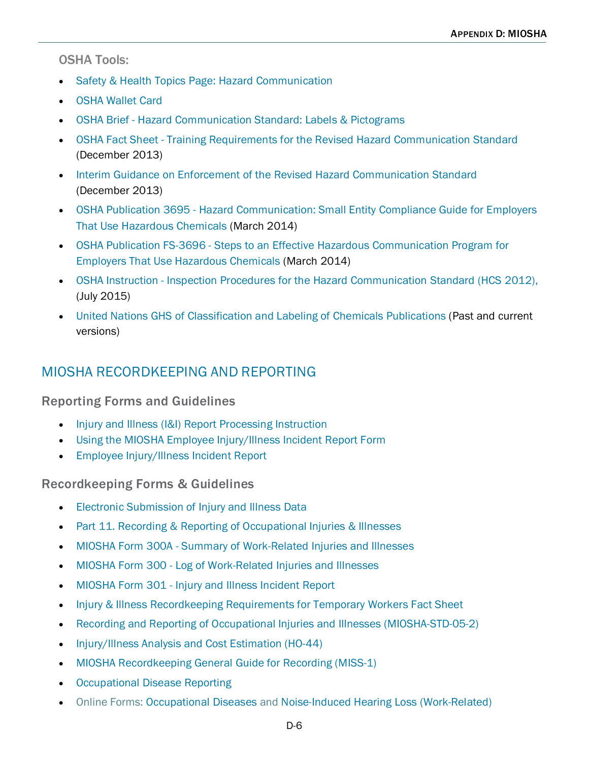#### OSHA Tools:

- [Safety & Health Topics Page: Hazard Communication](https://www.osha.gov/dsg/hazcom/index.html)
- [OSHA Wallet Card](https://www.osha.gov/Publications/OSHA3658.pdf)
- OSHA Brief [Hazard Communication Standard: Labels & Pictograms](http://www.osha.gov/Publications/OSHA3636.pdf)
- OSHA Fact Sheet [Training Requirements for the Revised Hazard Communication Standard](http://www.osha.gov/Publications/OSHA3642.pdf) (December 2013)
- [Interim Guidance on Enforcement of the Revised Hazard Communication Standard](http://www.michigan.gov/documents/lara/lara_miosha_osha_hazcom_memo_443250_7.pdf) (December 2013)
- OSHA Publication 3695 [Hazard Communication: Small Entity Compliance Guide for Employers](https://www.osha.gov/Publications/OSHA3695.pdf)  [That Use Hazardous Chemicals](https://www.osha.gov/Publications/OSHA3695.pdf) (March 2014)
- OSHA Publication FS-3696 [Steps to an Effective Hazardous Communication Program for](https://www.osha.gov/Publications/OSHA3696.pdf)  [Employers That Use Hazardous Chemicals](https://www.osha.gov/Publications/OSHA3696.pdf) (March 2014)
- OSHA Instruction [Inspection Procedures for the Hazard Communication Standard \(HCS 2012\),](https://www.osha.gov/OshDoc/Directive_pdf/CPL_02-02-079.pdf)  [\(July 2015\)](https://www.osha.gov/OshDoc/Directive_pdf/CPL_02-02-079.pdf)
- United Nations GHS [of Classification and Labeling of Chemicals Publications](http://www.unece.org/trans/danger/publi/ghs/ghs_welcome_e.html) (Past and current versions)

## MIOSHA [RECORDKEEPING](https://www.michigan.gov/leo/0,5863,7-336-78421_11407_30929---,00.html) AND REPORTING

#### Reporting Forms and Guidelines

- [Injury and Illness \(I&I\) Report Processing Instruction](https://adms.apps.lara.state.mi.us/File/ViewDmsDocument/12920)
- [Using the MIOSHA Employee Injury/Illness Incident Report Form](https://www.michigan.gov/leo/0,5863,7-336-78421_11407_30929-363609--,00.html)
- [Employee Injury/Illness Incident Report](https://forms.leo.state.mi.us/miosha-incident-report/)

[Recordkeeping Forms & Guidelines](https://www.michigan.gov/leo/0,5863,7-336-78421_11407_30929---,00.html#RECORD_FORMS_GUIDE)

- [Electronic Submission of Injury and Illness Data](https://www.osha.gov/recordkeeping/finalrule/index.html)
- [Part 11. Recording & Reporting of Occupational Injuries & Illnesses](https://www.michigan.gov/documents/CIS_WSH_part11ad_37844_7.pdf)
- MIOSHA Form 300A [Summary of Work-Related Injuries and Illnesses](https://www.michigan.gov/documents/CIS_WSH_form300A_33843_7.pdf)
- MIOSHA Form 300 [Log of Work-Related Injuries and Illnesses](https://www.michigan.gov/documents/CIS_WSH_form300_33842_7.pdf)
- MIOSHA Form 301 [Injury and Illness Incident Report](https://www.michigan.gov/documents/CIS_WSH_form301_33844_7.pdf)
- [Injury & Illness Recordkeeping Requirements for Temporary Workers Fact Sheet](https://www.michigan.gov/documents/lara/lara_miosha_cet0193_473459_7.doc)
- [Recording and Reporting of Occupational Injuries and Illnesses \(MIOSHA-STD-05-2\)](https://adms.apps.lara.state.mi.us/File/ViewDmsDocument/12956)
- [Injury/Illness Analysis and Cost Estimation \(HO-44\)](https://www.michigan.gov/documents/dleg/wsh_ho44_215130_7.xls)
- [MIOSHA Recordkeeping General Guide for Recording \(MISS-1\)](https://www.michigan.gov/documents/cis_wsh_miss1_107282_7.doc)
- [Occupational Disease Reporting](https://www.michigan.gov/documents/lara/lara_miosha_od_reporting_letter_instructions_402020_7.pdf)
- Online Forms: [Occupational Diseases](https://msu.co1.qualtrics.com/jfe/form/SV_bKqBqSDaIuVRTqR) and [Noise-Induced Hearing Loss](https://msu.co1.qualtrics.com/jfe/form/SV_d73YHgPw5eDrokR) (Work-Related)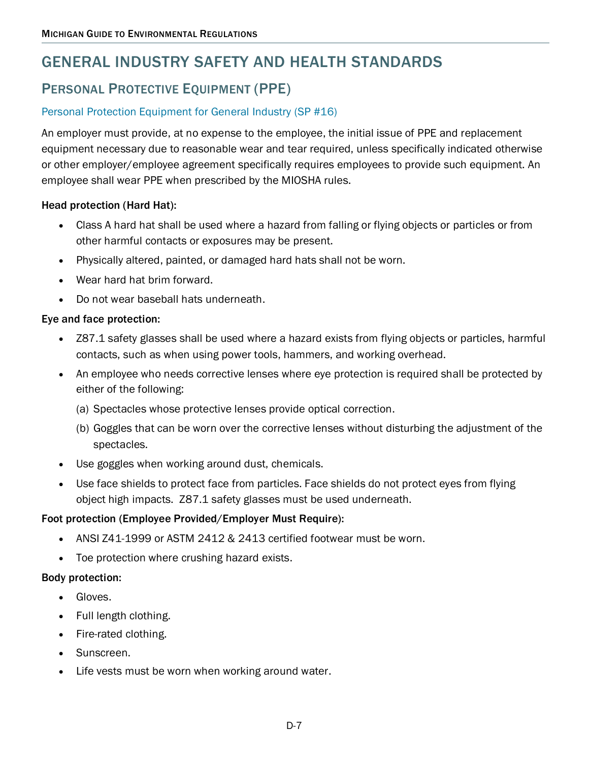## GENERAL INDUSTRY SAFETY AND HEALTH STANDARDS

## PERSONAL PROTECTIVE EQUIPMENT (PPE)

#### [Personal Protection Equipment for General Industry \(SP #16\)](http://www.michigan.gov/documents/dleg/deleg_wsh_cetsp16_336065_7.doc)

An employer must provide, at no expense to the employee, the initial issue of PPE and replacement equipment necessary due to reasonable wear and tear required, unless specifically indicated otherwise or other employer/employee agreement specifically requires employees to provide such equipment. An employee shall wear PPE when prescribed by the MIOSHA rules.

#### Head protection (Hard Hat):

- Class A hard hat shall be used where a hazard from falling or flying objects or particles or from other harmful contacts or exposures may be present.
- Physically altered, painted, or damaged hard hats shall not be worn.
- Wear hard hat brim forward.
- Do not wear baseball hats underneath.

#### Eye and face protection:

- Z87.1 safety glasses shall be used where a hazard exists from flying objects or particles, harmful contacts, such as when using power tools, hammers, and working overhead.
- An employee who needs corrective lenses where eye protection is required shall be protected by either of the following:
	- (a) Spectacles whose protective lenses provide optical correction.
	- (b) Goggles that can be worn over the corrective lenses without disturbing the adjustment of the spectacles.
- Use goggles when working around dust, chemicals.
- Use face shields to protect face from particles. Face shields do not protect eyes from flying object high impacts. Z87.1 safety glasses must be used underneath.

#### Foot protection (Employee Provided/Employer Must Require):

- ANSI Z41-1999 or ASTM 2412 & 2413 certified footwear must be worn.
- Toe protection where crushing hazard exists.

#### Body protection:

- Gloves.
- Full length clothing.
- Fire-rated clothing.
- Sunscreen.
- Life vests must be worn when working around water.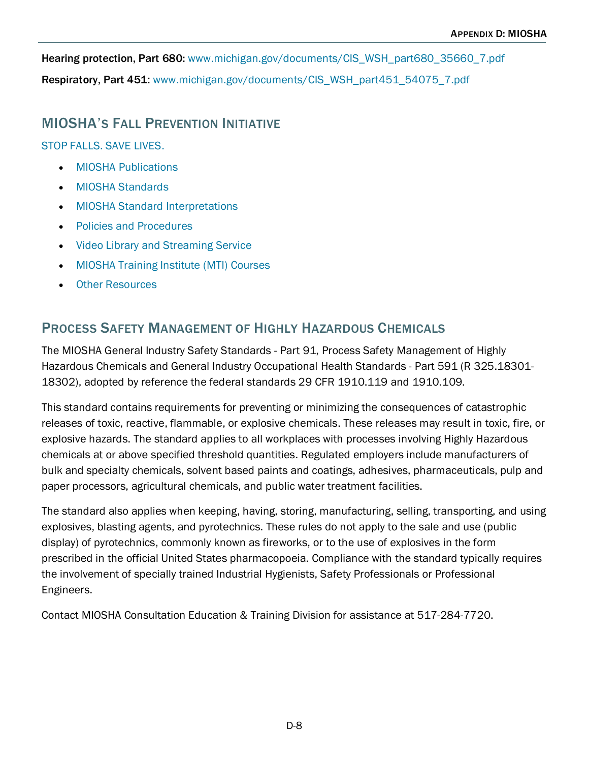Hearing protection, Part 680: [www.michigan.gov/documents/CIS\\_WSH\\_part680\\_35660\\_7.pdf](http://www.michigan.gov/documents/CIS_WSH_part680_35660_7.pdf) Respiratory, Part 451: [www.michigan.gov/documents/CIS\\_WSH\\_part451\\_54075\\_7.pdf](http://www.michigan.gov/documents/CIS_WSH_part451_54075_7.pdf)

## MIOSHA'S FALL PREVENTION INITIATIVE

[STOP FALLS. SAVE LIVES.](https://www.michigan.gov/leo/0,5863,7-336-78421_11407_15317-402966--,00.html)

- MIOSHA [Publications](https://www.michigan.gov/leo/0,5863,7-336-78421_11407_15317_79023-404069--,00.html)
- MIOSHA [Standards](https://www.michigan.gov/leo/0,5863,7-336-78421_11407_15317_79023-404070--,00.html)
- MIOSHA [Standard Interpretations](https://www.michigan.gov/leo/0,5863,7-336-78421_11407_15317_79023-404071--,00.html)
- [Policies and Procedures](https://www.michigan.gov/leo/0,5863,7-336-78421_11407_15317-404385--,00.html)
- [Video Library and Streaming Service](https://www.michigan.gov/leo/0,5863,7-336-78421_11407_15317_79023-404073--,00.html)
- MIOSHA [Training Institute \(MTI\) Courses](https://www.michigan.gov/leo/0,5863,7-336-78421_11407_15317_79023-404075--,00.html)
- **[Other Resources](https://www.michigan.gov/leo/0,5863,7-336-78421_11407_15317_79023-404072--,00.html)**

## PROCESS SAFETY MANAGEMENT OF HIGHLY HAZARDOUS CHEMICALS

The MIOSHA General Industry Safety Standards - [Part 91, Process Safety Management of Highly](http://www.michigan.gov/cis/0,1607,7-154-11407_15368_23451---,00.html)  [Hazardous Chemicals](http://www.michigan.gov/cis/0,1607,7-154-11407_15368_23451---,00.html) and [General Industry Occupational Health Standards -](http://www.michigan.gov/cis/0,1607,7-154-11407_15368_23451---,00.html) Part 591 (R 325.18301- [18302\),](http://www.michigan.gov/cis/0,1607,7-154-11407_15368_23451---,00.html) adopted by reference the federal standards 29 CFR 1910.119 and 1910.109.

This standard contains requirements for preventing or minimizing the consequences of catastrophic releases of toxic, reactive, flammable, or explosive chemicals. These releases may result in toxic, fire, or explosive hazards. The standard applies to all workplaces with processes involving Highly Hazardous chemicals at or above specified threshold quantities. Regulated employers include manufacturers of bulk and specialty chemicals, solvent based paints and coatings, adhesives, pharmaceuticals, pulp and paper processors, agricultural chemicals, and public water treatment facilities.

The standard also applies when keeping, having, storing, manufacturing, selling, transporting, and using explosives, blasting agents, and pyrotechnics. These rules do not apply to the sale and use (public display) of pyrotechnics, commonly known as fireworks, or to the use of explosives in the form prescribed in the official United States pharmacopoeia. Compliance with the standard typically requires the involvement of specially trained Industrial Hygienists, Safety Professionals or Professional Engineers.

Contact MIOSHA Consultation Education & Training Division for assistance at 517-284-7720.